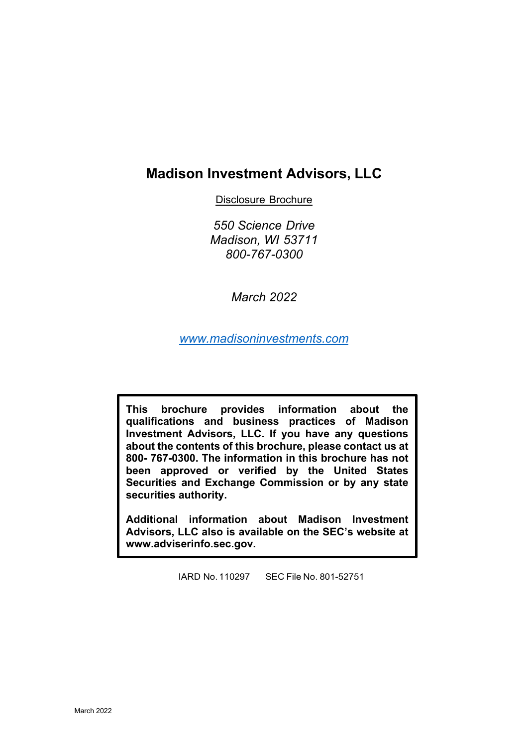# **Madison Investment Advisors, LLC**

Disclosure Brochure

*550 Science Drive Madison, WI 53711 800-767-0300*

*March 2022*

*[www.madisoninvestments.com](http://www.madisoninvestments.com/)*

**This brochure provides information about the qualifications and business practices of Madison Investment Advisors, LLC. If you have any questions about the contents of this brochure, please contact us at 800- 767-0300. The information in this brochure has not been approved or verified by the United States Securities and Exchange Commission or by any state securities authority.**

**Additional information about Madison Investment Advisors, LLC also is available on the SEC's website at www.adviserinfo.sec.gov.**

IARD No.110297 SEC File No. 801-52751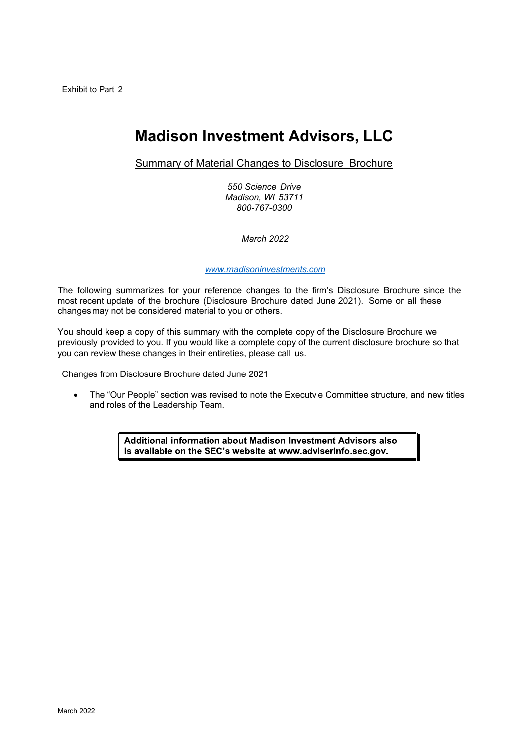# **Madison Investment Advisors, LLC**

Summary of Material Changes to Disclosure Brochure

*550 Science Drive Madison, WI 53711 800-767-0300*

*March 2022*

#### *[www.madisoninvestments.com](http://www.madisoninvestments.com/)*

The following summarizes for your reference changes to the firm's Disclosure Brochure since the most recent update of the brochure (Disclosure Brochure dated June 2021). Some or all these changesmay not be considered material to you or others.

You should keep a copy of this summary with the complete copy of the Disclosure Brochure we previously provided to you. If you would like a complete copy of the current disclosure brochure so that you can review these changes in their entireties, please call us.

Changes from Disclosure Brochure dated June 2021

• The "Our People" section was revised to note the Executvie Committee structure, and new titles and roles of the Leadership Team.

> Additional information about Madison Investment Advisors also is available on the SEC's website at www.adviserinfo.sec.gov.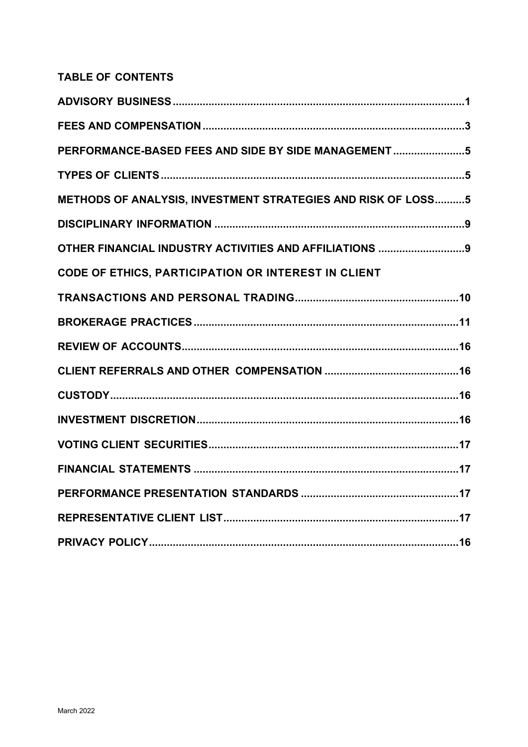# **TABLE OF CONTENTS**

| PERFORMANCE-BASED FEES AND SIDE BY SIDE MANAGEMENT 5         |
|--------------------------------------------------------------|
|                                                              |
| METHODS OF ANALYSIS, INVESTMENT STRATEGIES AND RISK OF LOSS5 |
|                                                              |
| OTHER FINANCIAL INDUSTRY ACTIVITIES AND AFFILIATIONS 9       |
| CODE OF ETHICS, PARTICIPATION OR INTEREST IN CLIENT          |
|                                                              |
|                                                              |
|                                                              |
|                                                              |
|                                                              |
|                                                              |
|                                                              |
|                                                              |
|                                                              |
|                                                              |
|                                                              |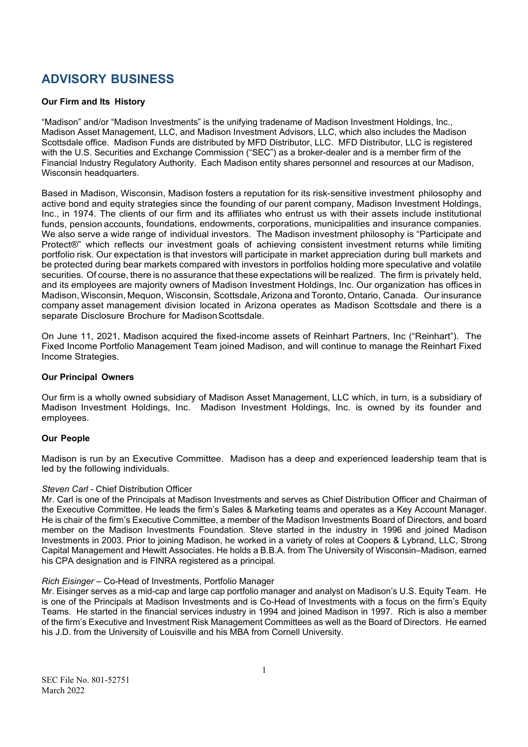# <span id="page-3-0"></span>**ADVISORY BUSINESS**

### **Our Firm and Its History**

"Madison" and/or "Madison Investments" is the unifying tradename of Madison Investment Holdings, Inc., Madison Asset Management, LLC, and Madison Investment Advisors, LLC, which also includes the Madison Scottsdale office. Madison Funds are distributed by MFD Distributor, LLC. MFD Distributor, LLC is registered with the U.S. Securities and Exchange Commission ("SEC") as a broker-dealer and is a member firm of the Financial Industry Regulatory Authority. Each Madison entity shares personnel and resources at our Madison, Wisconsin headquarters.

Based in Madison, Wisconsin, Madison fosters a reputation for its risk-sensitive investment philosophy and active bond and equity strategies since the founding of our parent company, Madison Investment Holdings, Inc., in 1974. The clients of our firm and its affiliates who entrust us with their assets include institutional funds, pension accounts, foundations, endowments, corporations, municipalities and insurance companies. We also serve a wide range of individual investors. The Madison investment philosophy is "Participate and Protect®" which reflects our investment goals of achieving consistent investment returns while limiting portfolio risk. Our expectation is that investors will participate in market appreciation during bull markets and be protected during bear markets compared with investors in portfolios holding more speculative and volatile securities. Of course, there is no assurance that these expectations will be realized. The firm is privately held, and its employees are majority owners of Madison Investment Holdings, Inc. Our organization has offices in Madison, Wisconsin, Mequon, Wisconsin, Scottsdale, Arizona and Toronto, Ontario, Canada. Our insurance company asset management division located in Arizona operates as Madison Scottsdale and there is a separate Disclosure Brochure for Madison Scottsdale.

On June 11, 2021, Madison acquired the fixed-income assets of Reinhart Partners, Inc ("Reinhart"). The Fixed Income Portfolio Management Team joined Madison, and will continue to manage the Reinhart Fixed Income Strategies.

### **Our Principal Owners**

Our firm is a wholly owned subsidiary of Madison Asset Management, LLC which, in turn, is a subsidiary of Madison Investment Holdings, Inc. Madison Investment Holdings, Inc. is owned by its founder and employees.

# **Our People**

Madison is run by an Executive Committee. Madison has a deep and experienced leadership team that is led by the following individuals.

### *Steven Carl* - Chief Distribution Officer

Mr. Carl is one of the Principals at Madison Investments and serves as Chief Distribution Officer and Chairman of the Executive Committee. He leads the firm's Sales & Marketing teams and operates as a Key Account Manager. He is chair of the firm's Executive Committee, a member of the Madison Investments Board of Directors, and board member on the Madison Investments Foundation. Steve started in the industry in 1996 and joined Madison Investments in 2003. Prior to joining Madison, he worked in a variety of roles at Coopers & Lybrand, LLC, Strong Capital Management and Hewitt Associates. He holds a B.B.A. from The University of Wisconsin–Madison, earned his CPA designation and is FINRA registered as a principal.

### *Rich Eisinger* – Co-Head of Investments, Portfolio Manager

Mr. Eisinger serves as a mid-cap and large cap portfolio manager and analyst on Madison's U.S. Equity Team. He is one of the Principals at Madison Investments and is Co-Head of Investments with a focus on the firm's Equity Teams. He started in the financial services industry in 1994 and joined Madison in 1997. Rich is also a member of the firm's Executive and Investment Risk Management Committees as well as the Board of Directors. He earned his J.D. from the University of Louisville and his MBA from Cornell University.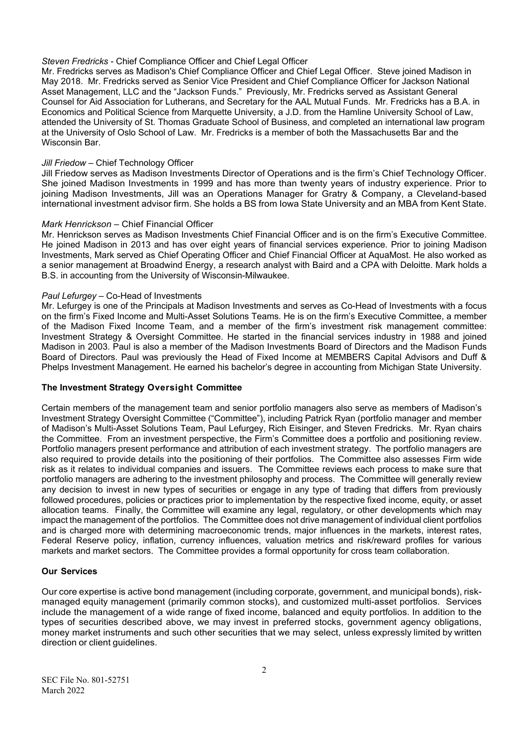### *Steven Fredricks* - Chief Compliance Officer and Chief Legal Officer

Mr. Fredricks serves as Madison's Chief Compliance Officer and Chief Legal Officer. Steve joined Madison in May 2018. Mr. Fredricks served as Senior Vice President and Chief Compliance Officer for Jackson National Asset Management, LLC and the "Jackson Funds." Previously, Mr. Fredricks served as Assistant General Counsel for Aid Association for Lutherans, and Secretary for the AAL Mutual Funds. Mr. Fredricks has a B.A. in Economics and Political Science from Marquette University, a J.D. from the Hamline University School of Law, attended the University of St. Thomas Graduate School of Business, and completed an international law program at the University of Oslo School of Law. Mr. Fredricks is a member of both the Massachusetts Bar and the Wisconsin Bar.

#### *Jill Friedow* – Chief Technology Officer

Jill Friedow serves as Madison Investments Director of Operations and is the firm's Chief Technology Officer. She joined Madison Investments in 1999 and has more than twenty years of industry experience. Prior to joining Madison Investments, Jill was an Operations Manager for Gratry & Company, a Cleveland-based international investment advisor firm. She holds a BS from Iowa State University and an MBA from Kent State.

#### *Mark Henrickson* – Chief Financial Officer

Mr. Henrickson serves as Madison Investments Chief Financial Officer and is on the firm's Executive Committee. He joined Madison in 2013 and has over eight years of financial services experience. Prior to joining Madison Investments, Mark served as Chief Operating Officer and Chief Financial Officer at AquaMost. He also worked as a senior management at Broadwind Energy, a research analyst with Baird and a CPA with Deloitte. Mark holds a B.S. in accounting from the University of Wisconsin-Milwaukee.

#### *Paul Lefurgey* – Co-Head of Investments

Mr. Lefurgey is one of the Principals at Madison Investments and serves as Co-Head of Investments with a focus on the firm's Fixed Income and Multi-Asset Solutions Teams. He is on the firm's Executive Committee, a member of the Madison Fixed Income Team, and a member of the firm's investment risk management committee: Investment Strategy & Oversight Committee. He started in the financial services industry in 1988 and joined Madison in 2003. Paul is also a member of the Madison Investments Board of Directors and the Madison Funds Board of Directors. Paul was previously the Head of Fixed Income at MEMBERS Capital Advisors and Duff & Phelps Investment Management. He earned his bachelor's degree in accounting from Michigan State University.

### **The Investment Strategy Oversight Committee**

Certain members of the management team and senior portfolio managers also serve as members of Madison's Investment Strategy Oversight Committee ("Committee"), including Patrick Ryan (portfolio manager and member of Madison's Multi-Asset Solutions Team, Paul Lefurgey, Rich Eisinger, and Steven Fredricks. Mr. Ryan chairs the Committee. From an investment perspective, the Firm's Committee does a portfolio and positioning review. Portfolio managers present performance and attribution of each investment strategy. The portfolio managers are also required to provide details into the positioning of their portfolios. The Committee also assesses Firm wide risk as it relates to individual companies and issuers. The Committee reviews each process to make sure that portfolio managers are adhering to the investment philosophy and process. The Committee will generally review any decision to invest in new types of securities or engage in any type of trading that differs from previously followed procedures, policies or practices prior to implementation by the respective fixed income, equity, or asset allocation teams. Finally, the Committee will examine any legal, regulatory, or other developments which may impact the management of the portfolios. The Committee does not drive management of individual client portfolios and is charged more with determining macroeconomic trends, major influences in the markets, interest rates, Federal Reserve policy, inflation, currency influences, valuation metrics and risk/reward profiles for various markets and market sectors. The Committee provides a formal opportunity for cross team collaboration.

### **Our Services**

Our core expertise is active bond management (including corporate, government, and municipal bonds), riskmanaged equity management (primarily common stocks), and customized multi-asset portfolios. Services include the management of a wide range of fixed income, balanced and equity portfolios. In addition to the types of securities described above, we may invest in preferred stocks, government agency obligations, money market instruments and such other securities that we may select, unless expressly limited by written direction or client guidelines.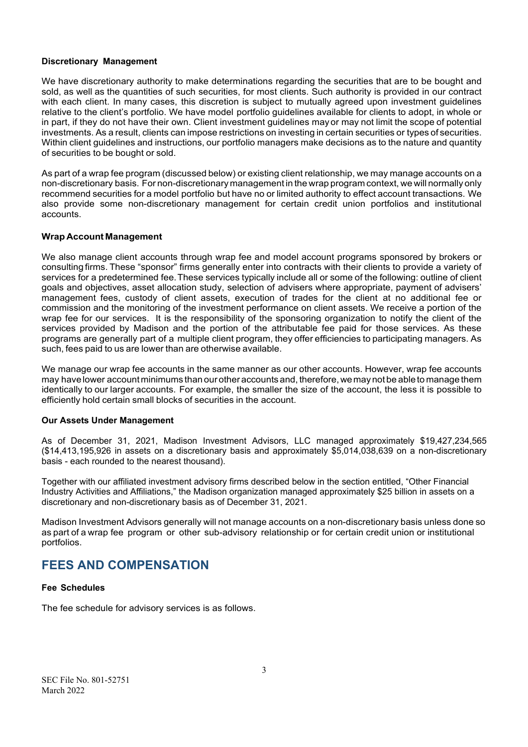### **Discretionary Management**

We have discretionary authority to make determinations regarding the securities that are to be bought and sold, as well as the quantities of such securities, for most clients. Such authority is provided in our contract with each client. In many cases, this discretion is subject to mutually agreed upon investment guidelines relative to the client's portfolio. We have model portfolio guidelines available for clients to adopt, in whole or in part, if they do not have their own. Client investment guidelines mayor may not limit the scope of potential investments. As a result, clients can impose restrictions on investing in certain securities or types of securities. Within client guidelines and instructions, our portfolio managers make decisions as to the nature and quantity of securities to be bought or sold.

As part of a wrap fee program (discussed below) or existing client relationship, we may manage accounts on a non-discretionary basis. For non-discretionary management in the wrap program context, we will normally only recommend securities for a model portfolio but have no or limited authority to effect account transactions. We also provide some non-discretionary management for certain credit union portfolios and institutional accounts.

### **Wrap Account Management**

We also manage client accounts through wrap fee and model account programs sponsored by brokers or consulting firms. These "sponsor" firms generally enter into contracts with their clients to provide a variety of services for a predetermined fee.These services typically include all or some of the following: outline of client goals and objectives, asset allocation study, selection of advisers where appropriate, payment of advisers' management fees, custody of client assets, execution of trades for the client at no additional fee or commission and the monitoring of the investment performance on client assets. We receive a portion of the wrap fee for our services. It is the responsibility of the sponsoring organization to notify the client of the services provided by Madison and the portion of the attributable fee paid for those services. As these programs are generally part of a multiple client program, they offer efficiencies to participating managers. As such, fees paid to us are lower than are otherwise available.

We manage our wrap fee accounts in the same manner as our other accounts. However, wrap fee accounts may have lower account minimums than our other accounts and, therefore, we may not be able to manage them identically to our larger accounts. For example, the smaller the size of the account, the less it is possible to efficiently hold certain small blocks of securities in the account.

### **Our Assets Under Management**

As of December 31, 2021, Madison Investment Advisors, LLC managed approximately \$19,427,234,565 (\$14,413,195,926 in assets on a discretionary basis and approximately \$5,014,038,639 on a non-discretionary basis - each rounded to the nearest thousand).

Together with our affiliated investment advisory firms described below in the section entitled, "Other Financial Industry Activities and Affiliations," the Madison organization managed approximately \$25 billion in assets on a discretionary and non-discretionary basis as of December 31, 2021.

Madison Investment Advisors generally will not manage accounts on a non-discretionary basis unless done so as part of a wrap fee program or other sub-advisory relationship or for certain credit union or institutional portfolios.

# <span id="page-5-0"></span>**FEES AND COMPENSATION**

### **Fee Schedules**

The fee schedule for advisory services is as follows.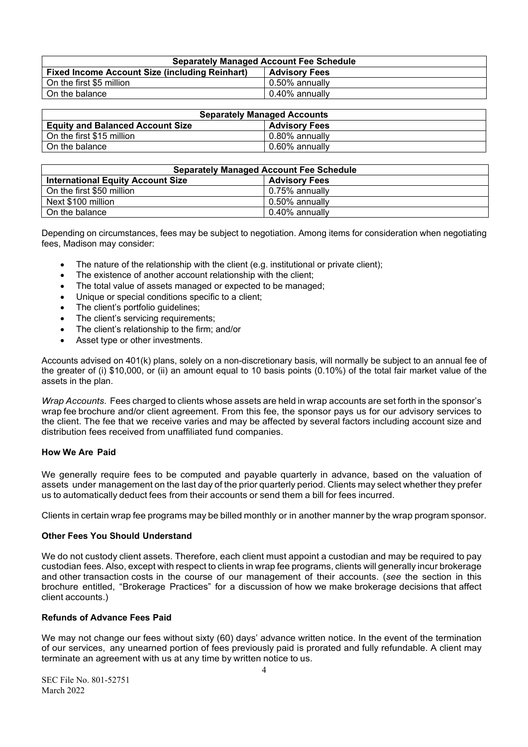| <b>Separately Managed Account Fee Schedule</b>        |                      |  |  |
|-------------------------------------------------------|----------------------|--|--|
| <b>Fixed Income Account Size (including Reinhart)</b> | <b>Advisory Fees</b> |  |  |
| On the first \$5 million                              | 0.50% annually       |  |  |
| On the balance                                        | 0.40% annually       |  |  |

| <b>Separately Managed Accounts</b>      |                      |  |  |
|-----------------------------------------|----------------------|--|--|
| <b>Equity and Balanced Account Size</b> | <b>Advisory Fees</b> |  |  |
| On the first \$15 million               | 0.80% annually       |  |  |
| On the balance                          | 0.60% annually       |  |  |

| <b>Separately Managed Account Fee Schedule</b> |                      |  |  |
|------------------------------------------------|----------------------|--|--|
| <b>International Equity Account Size</b>       | <b>Advisory Fees</b> |  |  |
| On the first \$50 million                      | $0.75%$ annually     |  |  |
| Next \$100 million                             | 0.50% annually       |  |  |
| On the balance                                 | 0.40% annually       |  |  |

Depending on circumstances, fees may be subject to negotiation. Among items for consideration when negotiating fees, Madison may consider:

- The nature of the relationship with the client (e.g. institutional or private client);
- The existence of another account relationship with the client;
- The total value of assets managed or expected to be managed;
- Unique or special conditions specific to a client;
- The client's portfolio quidelines;
- The client's servicing requirements;
- The client's relationship to the firm; and/or
- Asset type or other investments.

Accounts advised on 401(k) plans, solely on a non-discretionary basis, will normally be subject to an annual fee of the greater of (i) \$10,000, or (ii) an amount equal to 10 basis points (0.10%) of the total fair market value of the assets in the plan.

*Wrap Accounts*. Fees charged to clients whose assets are held in wrap accounts are set forth in the sponsor's wrap fee brochure and/or client agreement. From this fee, the sponsor pays us for our advisory services to the client. The fee that we receive varies and may be affected by several factors including account size and distribution fees received from unaffiliated fund companies.

# **How We Are Paid**

We generally require fees to be computed and payable quarterly in advance, based on the valuation of assets under management on the last day of the prior quarterly period. Clients may select whether they prefer us to automatically deduct fees from their accounts or send them a bill for fees incurred.

Clients in certain wrap fee programs may be billed monthly or in another manner by the wrap program sponsor.

### **Other Fees You Should Understand**

We do not custody client assets. Therefore, each client must appoint a custodian and may be required to pay custodian fees. Also, except with respect to clients in wrap fee programs, clients will generally incur brokerage and other transaction costs in the course of our management of their accounts. (*see* the section in this brochure entitled, "Brokerage Practices" for a discussion of how we make brokerage decisions that affect client accounts.)

### **Refunds of Advance Fees Paid**

We may not change our fees without sixty (60) days' advance written notice. In the event of the termination of our services, any unearned portion of fees previously paid is prorated and fully refundable. A client may terminate an agreement with us at any time by written notice to us.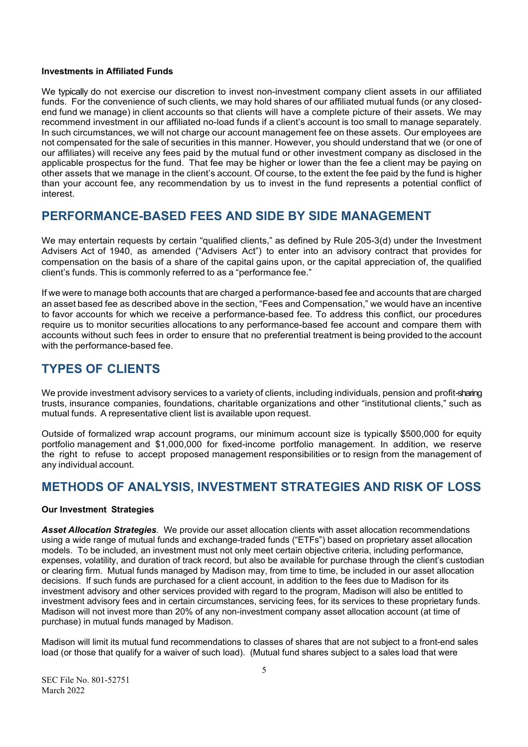#### **Investments in Affiliated Funds**

We typically do not exercise our discretion to invest non-investment company client assets in our affiliated funds. For the convenience of such clients, we may hold shares of our affiliated mutual funds (or any closedend fund we manage) in client accounts so that clients will have a complete picture of their assets. We may recommend investment in our affiliated no-load funds if a client's account is too small to manage separately. In such circumstances, we will not charge our account management fee on these assets. Our employees are not compensated for the sale of securities in this manner. However, you should understand that we (or one of our affiliates) will receive any fees paid by the mutual fund or other investment company as disclosed in the applicable prospectus for the fund. That fee may be higher or lower than the fee a client may be paying on other assets that we manage in the client's account. Of course, to the extent the fee paid by the fund is higher than your account fee, any recommendation by us to invest in the fund represents a potential conflict of interest.

# <span id="page-7-0"></span>**PERFORMANCE-BASED FEES AND SIDE BY SIDE MANAGEMENT**

We may entertain requests by certain "qualified clients," as defined by Rule 205-3(d) under the Investment Advisers Act of 1940, as amended ("Advisers Act") to enter into an advisory contract that provides for compensation on the basis of a share of the capital gains upon, or the capital appreciation of, the qualified client's funds. This is commonly referred to as a "performance fee."

If we were to manage both accounts that are charged a performance-based fee and accounts that are charged an asset based fee as described above in the section, "Fees and Compensation," we would have an incentive to favor accounts for which we receive a performance-based fee. To address this conflict, our procedures require us to monitor securities allocations to any performance-based fee account and compare them with accounts without such fees in order to ensure that no preferential treatment is being provided to the account with the performance-based fee.

# <span id="page-7-1"></span>**TYPES OF CLIENTS**

We provide investment advisory services to a variety of clients, including individuals, pension and profit-sharing trusts, insurance companies, foundations, charitable organizations and other "institutional clients," such as mutual funds. A representative client list is available upon request.

Outside of formalized wrap account programs, our minimum account size is typically \$500,000 for equity portfolio management and \$1,000,000 for fixed-income portfolio management. In addition, we reserve the right to refuse to accept proposed management responsibilities or to resign from the management of any individual account.

# <span id="page-7-2"></span>**METHODS OF ANALYSIS, INVESTMENT STRATEGIES AND RISK OF LOSS**

### **Our Investment Strategies**

*Asset Allocation Strategies.* We provide our asset allocation clients with asset allocation recommendations using a wide range of mutual funds and exchange-traded funds ("ETFs") based on proprietary asset allocation models. To be included, an investment must not only meet certain objective criteria, including performance, expenses, volatility, and duration of track record, but also be available for purchase through the client's custodian or clearing firm. Mutual funds managed by Madison may, from time to time, be included in our asset allocation decisions. If such funds are purchased for a client account, in addition to the fees due to Madison for its investment advisory and other services provided with regard to the program, Madison will also be entitled to investment advisory fees and in certain circumstances, servicing fees, for its services to these proprietary funds. Madison will not invest more than 20% of any non-investment company asset allocation account (at time of purchase) in mutual funds managed by Madison.

Madison will limit its mutual fund recommendations to classes of shares that are not subject to a front-end sales load (or those that qualify for a waiver of such load). (Mutual fund shares subject to a sales load that were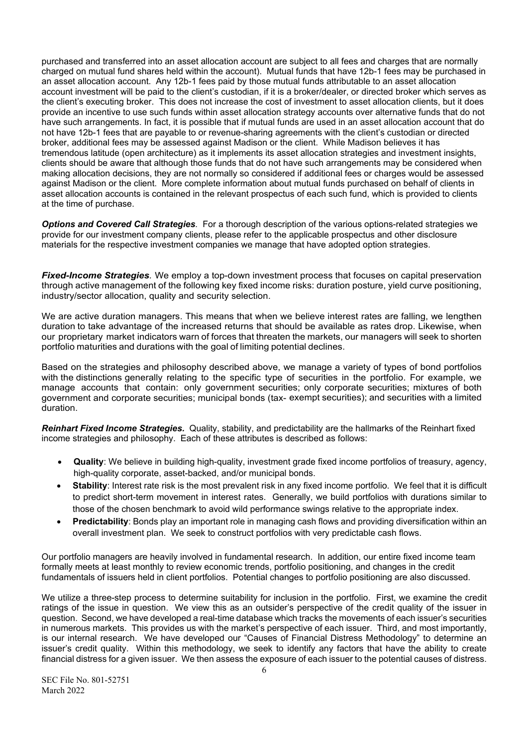purchased and transferred into an asset allocation account are subject to all fees and charges that are normally charged on mutual fund shares held within the account). Mutual funds that have 12b-1 fees may be purchased in an asset allocation account. Any 12b-1 fees paid by those mutual funds attributable to an asset allocation account investment will be paid to the client's custodian, if it is a broker/dealer, or directed broker which serves as the client's executing broker. This does not increase the cost of investment to asset allocation clients, but it does provide an incentive to use such funds within asset allocation strategy accounts over alternative funds that do not have such arrangements. In fact, it is possible that if mutual funds are used in an asset allocation account that do not have 12b-1 fees that are payable to or revenue-sharing agreements with the client's custodian or directed broker, additional fees may be assessed against Madison or the client. While Madison believes it has tremendous latitude (open architecture) as it implements its asset allocation strategies and investment insights, clients should be aware that although those funds that do not have such arrangements may be considered when making allocation decisions, they are not normally so considered if additional fees or charges would be assessed against Madison or the client. More complete information about mutual funds purchased on behalf of clients in asset allocation accounts is contained in the relevant prospectus of each such fund, which is provided to clients at the time of purchase.

*Options and Covered Call Strategies.* For a thorough description of the various options-related strategies we provide for our investment company clients, please refer to the applicable prospectus and other disclosure materials for the respective investment companies we manage that have adopted option strategies.

*Fixed-Income Strategies.* We employ a top-down investment process that focuses on capital preservation through active management of the following key fixed income risks: duration posture, yield curve positioning, industry/sector allocation, quality and security selection.

We are active duration managers. This means that when we believe interest rates are falling, we lengthen duration to take advantage of the increased returns that should be available as rates drop. Likewise, when our proprietary market indicators warn of forces that threaten the markets, our managers will seek to shorten portfolio maturities and durations with the goal of limiting potential declines.

Based on the strategies and philosophy described above, we manage a variety of types of bond portfolios with the distinctions generally relating to the specific type of securities in the portfolio. For example, we manage accounts that contain: only government securities; only corporate securities; mixtures of both government and corporate securities; municipal bonds (tax- exempt securities); and securities with a limited duration.

*Reinhart Fixed Income Strategies.* Quality, stability, and predictability are the hallmarks of the Reinhart fixed income strategies and philosophy. Each of these attributes is described as follows:

- **Quality**: We believe in building high-quality, investment grade fixed income portfolios of treasury, agency, high-quality corporate, asset-backed, and/or municipal bonds.
- **Stability**: Interest rate risk is the most prevalent risk in any fixed income portfolio. We feel that it is difficult to predict short-term movement in interest rates. Generally, we build portfolios with durations similar to those of the chosen benchmark to avoid wild performance swings relative to the appropriate index.
- **Predictability**: Bonds play an important role in managing cash flows and providing diversification within an overall investment plan. We seek to construct portfolios with very predictable cash flows.

Our portfolio managers are heavily involved in fundamental research. In addition, our entire fixed income team formally meets at least monthly to review economic trends, portfolio positioning, and changes in the credit fundamentals of issuers held in client portfolios. Potential changes to portfolio positioning are also discussed.

We utilize a three-step process to determine suitability for inclusion in the portfolio. First, we examine the credit ratings of the issue in question. We view this as an outsider's perspective of the credit quality of the issuer in question. Second, we have developed a real-time database which tracks the movements of each issuer's securities in numerous markets. This provides us with the market's perspective of each issuer. Third, and most importantly, is our internal research. We have developed our "Causes of Financial Distress Methodology" to determine an issuer's credit quality. Within this methodology, we seek to identify any factors that have the ability to create financial distress for a given issuer. We then assess the exposure of each issuer to the potential causes of distress.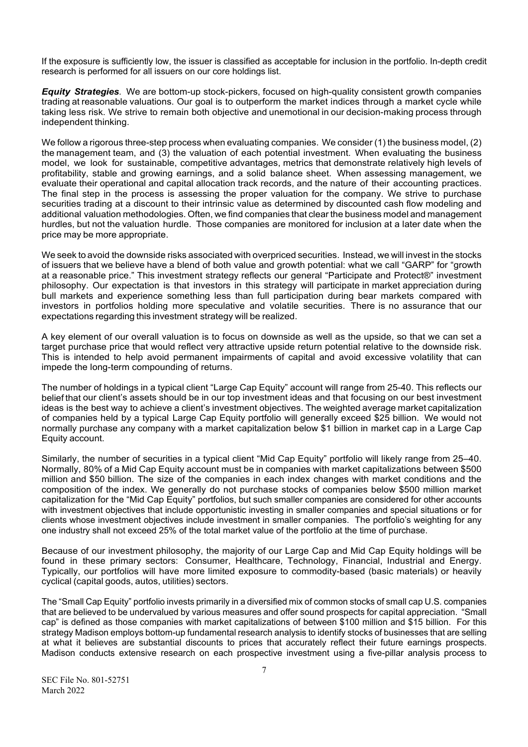If the exposure is sufficiently low, the issuer is classified as acceptable for inclusion in the portfolio. In-depth credit research is performed for all issuers on our core holdings list.

*Equity Strategies.* We are bottom-up stock-pickers, focused on high-quality consistent growth companies trading at reasonable valuations. Our goal is to outperform the market indices through a market cycle while taking less risk. We strive to remain both objective and unemotional in our decision-making process through independent thinking.

We follow a rigorous three-step process when evaluating companies. We consider (1) the business model, (2) the management team, and (3) the valuation of each potential investment. When evaluating the business model, we look for sustainable, competitive advantages, metrics that demonstrate relatively high levels of profitability, stable and growing earnings, and a solid balance sheet. When assessing management, we evaluate their operational and capital allocation track records, and the nature of their accounting practices. The final step in the process is assessing the proper valuation for the company. We strive to purchase securities trading at a discount to their intrinsic value as determined by discounted cash flow modeling and additional valuation methodologies. Often, we find companies that clear the business model and management hurdles, but not the valuation hurdle. Those companies are monitored for inclusion at a later date when the price may be more appropriate.

We seek to avoid the downside risks associated with overpriced securities. Instead, we will invest in the stocks of issuers that we believe have a blend of both value and growth potential: what we call "GARP" for "growth at a reasonable price." This investment strategy reflects our general "Participate and Protect®" investment philosophy. Our expectation is that investors in this strategy will participate in market appreciation during bull markets and experience something less than full participation during bear markets compared with investors in portfolios holding more speculative and volatile securities. There is no assurance that our expectations regarding this investment strategy will be realized.

A key element of our overall valuation is to focus on downside as well as the upside, so that we can set a target purchase price that would reflect very attractive upside return potential relative to the downside risk. This is intended to help avoid permanent impairments of capital and avoid excessive volatility that can impede the long-term compounding of returns.

The number of holdings in a typical client "Large Cap Equity" account will range from 25-40. This reflects our belief that our client's assets should be in our top investment ideas and that focusing on our best investment ideas is the best way to achieve a client's investment objectives. The weighted average market capitalization of companies held by a typical Large Cap Equity portfolio will generally exceed \$25 billion. We would not normally purchase any company with a market capitalization below \$1 billion in market cap in a Large Cap Equity account.

Similarly, the number of securities in a typical client "Mid Cap Equity" portfolio will likely range from 25–40. Normally, 80% of a Mid Cap Equity account must be in companies with market capitalizations between \$500 million and \$50 billion. The size of the companies in each index changes with market conditions and the composition of the index. We generally do not purchase stocks of companies below \$500 million market capitalization for the "Mid Cap Equity" portfolios, but such smaller companies are considered for other accounts with investment objectives that include opportunistic investing in smaller companies and special situations or for clients whose investment objectives include investment in smaller companies. The portfolio's weighting for any one industry shall not exceed 25% of the total market value of the portfolio at the time of purchase.

Because of our investment philosophy, the majority of our Large Cap and Mid Cap Equity holdings will be found in these primary sectors: Consumer, Healthcare, Technology, Financial, Industrial and Energy. Typically, our portfolios will have more limited exposure to commodity-based (basic materials) or heavily cyclical (capital goods, autos, utilities) sectors.

The "Small Cap Equity" portfolio invests primarily in a diversified mix of common stocks of small cap U.S. companies that are believed to be undervalued by various measures and offer sound prospects for capital appreciation. "Small cap" is defined as those companies with market capitalizations of between \$100 million and \$15 billion. For this strategy Madison employs bottom-up fundamental research analysis to identify stocks of businesses that are selling at what it believes are substantial discounts to prices that accurately reflect their future earnings prospects. Madison conducts extensive research on each prospective investment using a five-pillar analysis process to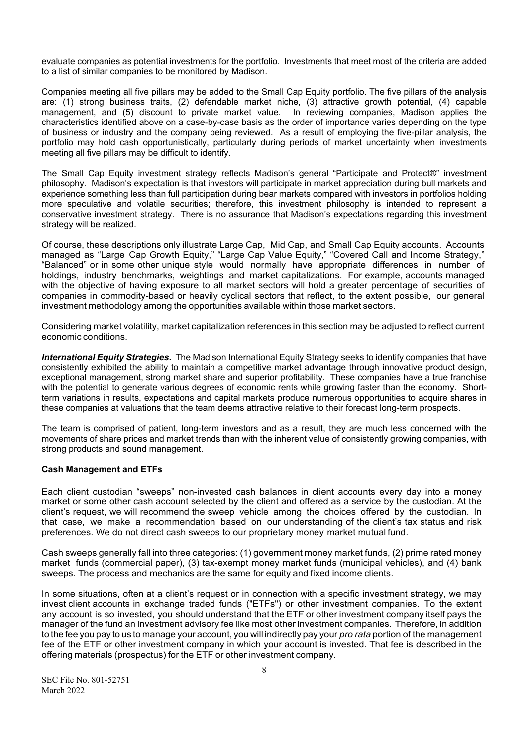evaluate companies as potential investments for the portfolio. Investments that meet most of the criteria are added to a list of similar companies to be monitored by Madison.

Companies meeting all five pillars may be added to the Small Cap Equity portfolio. The five pillars of the analysis are: (1) strong business traits, (2) defendable market niche, (3) attractive growth potential, (4) capable management, and (5) discount to private market value. In reviewing companies, Madison applies the characteristics identified above on a case-by-case basis as the order of importance varies depending on the type of business or industry and the company being reviewed. As a result of employing the five-pillar analysis, the portfolio may hold cash opportunistically, particularly during periods of market uncertainty when investments meeting all five pillars may be difficult to identify.

The Small Cap Equity investment strategy reflects Madison's general "Participate and Protect®" investment philosophy. Madison's expectation is that investors will participate in market appreciation during bull markets and experience something less than full participation during bear markets compared with investors in portfolios holding more speculative and volatile securities; therefore, this investment philosophy is intended to represent a conservative investment strategy. There is no assurance that Madison's expectations regarding this investment strategy will be realized.

Of course, these descriptions only illustrate Large Cap, Mid Cap, and Small Cap Equity accounts. Accounts managed as "Large Cap Growth Equity," "Large Cap Value Equity," "Covered Call and Income Strategy," "Balanced" or in some other unique style would normally have appropriate differences in number of holdings, industry benchmarks, weightings and market capitalizations. For example, accounts managed with the objective of having exposure to all market sectors will hold a greater percentage of securities of companies in commodity-based or heavily cyclical sectors that reflect, to the extent possible, our general investment methodology among the opportunities available within those market sectors.

Considering market volatility, market capitalization references in this section may be adjusted to reflect current economic conditions.

*International Equity Strategies.* The Madison International Equity Strategy seeks to identify companies that have consistently exhibited the ability to maintain a competitive market advantage through innovative product design, exceptional management, strong market share and superior profitability. These companies have a true franchise with the potential to generate various degrees of economic rents while growing faster than the economy. Shortterm variations in results, expectations and capital markets produce numerous opportunities to acquire shares in these companies at valuations that the team deems attractive relative to their forecast long-term prospects.

The team is comprised of patient, long-term investors and as a result, they are much less concerned with the movements of share prices and market trends than with the inherent value of consistently growing companies, with strong products and sound management.

# **Cash Management and ETFs**

Each client custodian "sweeps" non-invested cash balances in client accounts every day into a money market or some other cash account selected by the client and offered as a service by the custodian. At the client's request, we will recommend the sweep vehicle among the choices offered by the custodian. In that case, we make a recommendation based on our understanding of the client's tax status and risk preferences. We do not direct cash sweeps to our proprietary money market mutual fund.

Cash sweeps generally fall into three categories: (1) government money market funds, (2) prime rated money market funds (commercial paper), (3) tax-exempt money market funds (municipal vehicles), and (4) bank sweeps. The process and mechanics are the same for equity and fixed income clients.

In some situations, often at a client's request or in connection with a specific investment strategy, we may invest client accounts in exchange traded funds ("ETFs") or other investment companies. To the extent any account is so invested, you should understand that the ETF or other investment company itself pays the manager of the fund an investment advisory fee like most other investment companies. Therefore, in addition to the fee you pay to us to manage your account, you will indirectly pay your *pro rata* portion of the management fee of the ETF or other investment company in which your account is invested. That fee is described in the offering materials (prospectus) for the ETF or other investment company.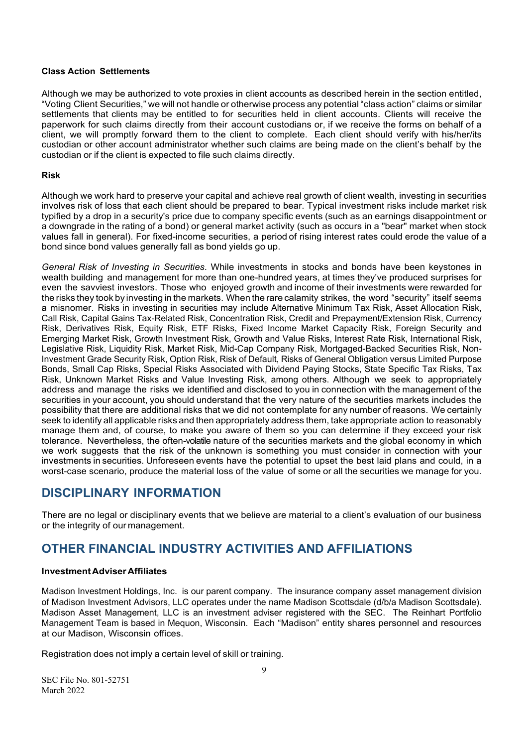### **Class Action Settlements**

Although we may be authorized to vote proxies in client accounts as described herein in the section entitled, "Voting Client Securities," we will not handle or otherwise process any potential "class action" claims or similar settlements that clients may be entitled to for securities held in client accounts. Clients will receive the paperwork for such claims directly from their account custodians or, if we receive the forms on behalf of a client, we will promptly forward them to the client to complete. Each client should verify with his/her/its custodian or other account administrator whether such claims are being made on the client's behalf by the custodian or if the client is expected to file such claims directly.

### **Risk**

Although we work hard to preserve your capital and achieve real growth of client wealth, investing in securities involves risk of loss that each client should be prepared to bear. Typical investment risks include market risk typified by a drop in a security's price due to company specific events (such as an earnings disappointment or a downgrade in the rating of a bond) or general market activity (such as occurs in a "bear" market when stock values fall in general). For fixed-income securities, a period of rising interest rates could erode the value of a bond since bond values generally fall as bond yields go up.

*General Risk of Investing in Securities*. While investments in stocks and bonds have been keystones in wealth building and management for more than one-hundred years, at times they've produced surprises for even the savviest investors. Those who enjoyed growth and income of their investments were rewarded for the risks they took by investing in the markets. When the rare calamity strikes, the word "security" itself seems a misnomer. Risks in investing in securities may include Alternative Minimum Tax Risk, Asset Allocation Risk, Call Risk, Capital Gains Tax-Related Risk, Concentration Risk, Credit and Prepayment/Extension Risk, Currency Risk, Derivatives Risk, Equity Risk, ETF Risks, Fixed Income Market Capacity Risk, Foreign Security and Emerging Market Risk, Growth Investment Risk, Growth and Value Risks, Interest Rate Risk, International Risk, Legislative Risk, Liquidity Risk, Market Risk, Mid-Cap Company Risk, Mortgaged-Backed Securities Risk, Non-Investment Grade Security Risk, Option Risk, Risk of Default, Risks of General Obligation versus Limited Purpose Bonds, Small Cap Risks, Special Risks Associated with Dividend Paying Stocks, State Specific Tax Risks, Tax Risk, Unknown Market Risks and Value Investing Risk, among others. Although we seek to appropriately address and manage the risks we identified and disclosed to you in connection with the management of the securities in your account, you should understand that the very nature of the securities markets includes the possibility that there are additional risks that we did not contemplate for any number of reasons. We certainly seek to identify all applicable risks and then appropriately address them, take appropriate action to reasonably manage them and, of course, to make you aware of them so you can determine if they exceed your risk tolerance. Nevertheless, the often-volatile nature of the securities markets and the global economy in which we work suggests that the risk of the unknown is something you must consider in connection with your investments in securities. Unforeseen events have the potential to upset the best laid plans and could, in a worst-case scenario, produce the material loss of the value of some or all the securities we manage for you.

# <span id="page-11-0"></span>**DISCIPLINARY INFORMATION**

There are no legal or disciplinary events that we believe are material to a client's evaluation of our business or the integrity of our management.

# <span id="page-11-1"></span>**OTHER FINANCIAL INDUSTRY ACTIVITIES AND AFFILIATIONS**

# **Investment AdviserAffiliates**

Madison Investment Holdings, Inc. is our parent company. The insurance company asset management division of Madison Investment Advisors, LLC operates under the name Madison Scottsdale (d/b/a Madison Scottsdale). Madison Asset Management, LLC is an investment adviser registered with the SEC. The Reinhart Portfolio Management Team is based in Mequon, Wisconsin. Each "Madison" entity shares personnel and resources at our Madison, Wisconsin offices.

Registration does not imply a certain level of skill or training.

SEC File No. 801-52751 March 2022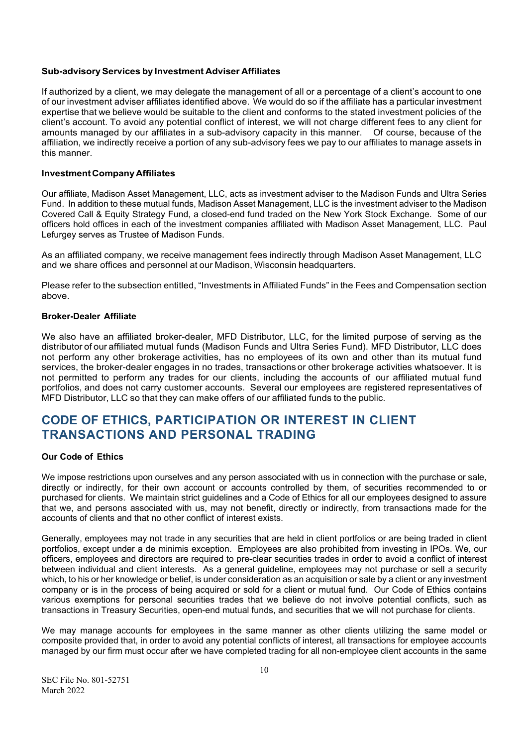### **Sub-advisory Services by Investment Adviser Affiliates**

If authorized by a client, we may delegate the management of all or a percentage of a client's account to one of our investment adviser affiliates identified above. We would do so if the affiliate has a particular investment expertise that we believe would be suitable to the client and conforms to the stated investment policies of the client's account. To avoid any potential conflict of interest, we will not charge different fees to any client for amounts managed by our affiliates in a sub-advisory capacity in this manner. Of course, because of the affiliation, we indirectly receive a portion of any sub-advisory fees we pay to our affiliates to manage assets in this manner.

### **Investment Company Affiliates**

Our affiliate, Madison Asset Management, LLC, acts as investment adviser to the Madison Funds and Ultra Series Fund. In addition to these mutual funds, Madison Asset Management, LLC is the investment adviser to the Madison Covered Call & Equity Strategy Fund, a closed-end fund traded on the New York Stock Exchange. Some of our officers hold offices in each of the investment companies affiliated with Madison Asset Management, LLC. Paul Lefurgey serves as Trustee of Madison Funds.

As an affiliated company, we receive management fees indirectly through Madison Asset Management, LLC and we share offices and personnel at our Madison, Wisconsin headquarters.

Please refer to the subsection entitled, "Investments in Affiliated Funds" in the Fees and Compensation section above.

### **Broker-Dealer Affiliate**

We also have an affiliated broker-dealer, MFD Distributor, LLC, for the limited purpose of serving as the distributor of our affiliated mutual funds (Madison Funds and Ultra Series Fund). MFD Distributor, LLC does not perform any other brokerage activities, has no employees of its own and other than its mutual fund services, the broker-dealer engages in no trades, transactions or other brokerage activities whatsoever. It is not permitted to perform any trades for our clients, including the accounts of our affiliated mutual fund portfolios, and does not carry customer accounts. Several our employees are registered representatives of MFD Distributor, LLC so that they can make offers of our affiliated funds to the public.

# <span id="page-12-0"></span>**CODE OF ETHICS, PARTICIPATION OR INTEREST IN CLIENT TRANSACTIONS AND PERSONAL TRADING**

### **Our Code of Ethics**

We impose restrictions upon ourselves and any person associated with us in connection with the purchase or sale, directly or indirectly, for their own account or accounts controlled by them, of securities recommended to or purchased for clients. We maintain strict guidelines and a Code of Ethics for all our employees designed to assure that we, and persons associated with us, may not benefit, directly or indirectly, from transactions made for the accounts of clients and that no other conflict of interest exists.

Generally, employees may not trade in any securities that are held in client portfolios or are being traded in client portfolios, except under a de minimis exception. Employees are also prohibited from investing in IPOs. We, our officers, employees and directors are required to pre-clear securities trades in order to avoid a conflict of interest between individual and client interests. As a general guideline, employees may not purchase or sell a security which, to his or her knowledge or belief, is under consideration as an acquisition or sale by a client or any investment company or is in the process of being acquired or sold for a client or mutual fund. Our Code of Ethics contains various exemptions for personal securities trades that we believe do not involve potential conflicts, such as transactions in Treasury Securities, open-end mutual funds, and securities that we will not purchase for clients.

We may manage accounts for employees in the same manner as other clients utilizing the same model or composite provided that, in order to avoid any potential conflicts of interest, all transactions for employee accounts managed by our firm must occur after we have completed trading for all non-employee client accounts in the same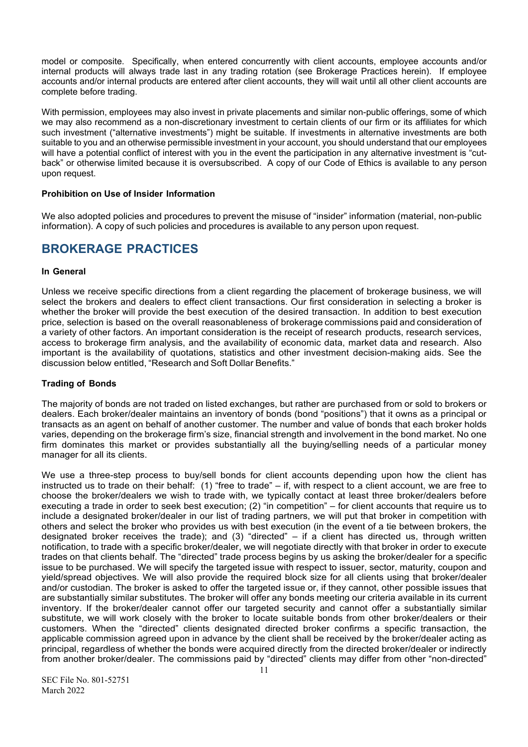model or composite. Specifically, when entered concurrently with client accounts, employee accounts and/or internal products will always trade last in any trading rotation (see Brokerage Practices herein). If employee accounts and/or internal products are entered after client accounts, they will wait until all other client accounts are complete before trading.

With permission, employees may also invest in private placements and similar non-public offerings, some of which we may also recommend as a non-discretionary investment to certain clients of our firm or its affiliates for which such investment ("alternative investments") might be suitable. If investments in alternative investments are both suitable to you and an otherwise permissible investment in your account, you should understand that our employees will have a potential conflict of interest with you in the event the participation in any alternative investment is "cutback" or otherwise limited because it is oversubscribed. A copy of our Code of Ethics is available to any person upon request.

### **Prohibition on Use of Insider Information**

We also adopted policies and procedures to prevent the misuse of "insider" information (material, non-public information). A copy of such policies and procedures is available to any person upon request.

# <span id="page-13-0"></span>**BROKERAGE PRACTICES**

### **In General**

Unless we receive specific directions from a client regarding the placement of brokerage business, we will select the brokers and dealers to effect client transactions. Our first consideration in selecting a broker is whether the broker will provide the best execution of the desired transaction. In addition to best execution price, selection is based on the overall reasonableness of brokerage commissions paid and consideration of a variety of other factors. An important consideration is the receipt of research products, research services, access to brokerage firm analysis, and the availability of economic data, market data and research. Also important is the availability of quotations, statistics and other investment decision-making aids. See the discussion below entitled, "Research and Soft Dollar Benefits."

# **Trading of Bonds**

The majority of bonds are not traded on listed exchanges, but rather are purchased from or sold to brokers or dealers. Each broker/dealer maintains an inventory of bonds (bond "positions") that it owns as a principal or transacts as an agent on behalf of another customer. The number and value of bonds that each broker holds varies, depending on the brokerage firm's size, financial strength and involvement in the bond market. No one firm dominates this market or provides substantially all the buying/selling needs of a particular money manager for all its clients.

We use a three-step process to buy/sell bonds for client accounts depending upon how the client has instructed us to trade on their behalf: (1) "free to trade" – if, with respect to a client account, we are free to choose the broker/dealers we wish to trade with, we typically contact at least three broker/dealers before executing a trade in order to seek best execution; (2) "in competition" – for client accounts that require us to include a designated broker/dealer in our list of trading partners, we will put that broker in competition with others and select the broker who provides us with best execution (in the event of a tie between brokers, the designated broker receives the trade); and (3) "directed" – if a client has directed us, through written notification, to trade with a specific broker/dealer, we will negotiate directly with that broker in order to execute trades on that clients behalf. The "directed" trade process begins by us asking the broker/dealer for a specific issue to be purchased. We will specify the targeted issue with respect to issuer, sector, maturity, coupon and yield/spread objectives. We will also provide the required block size for all clients using that broker/dealer and/or custodian. The broker is asked to offer the targeted issue or, if they cannot, other possible issues that are substantially similar substitutes. The broker will offer any bonds meeting our criteria available in its current inventory. If the broker/dealer cannot offer our targeted security and cannot offer a substantially similar substitute, we will work closely with the broker to locate suitable bonds from other broker/dealers or their customers. When the "directed" clients designated directed broker confirms a specific transaction, the applicable commission agreed upon in advance by the client shall be received by the broker/dealer acting as principal, regardless of whether the bonds were acquired directly from the directed broker/dealer or indirectly from another broker/dealer. The commissions paid by "directed" clients may differ from other "non-directed"

SEC File No. 801-52751 March 2022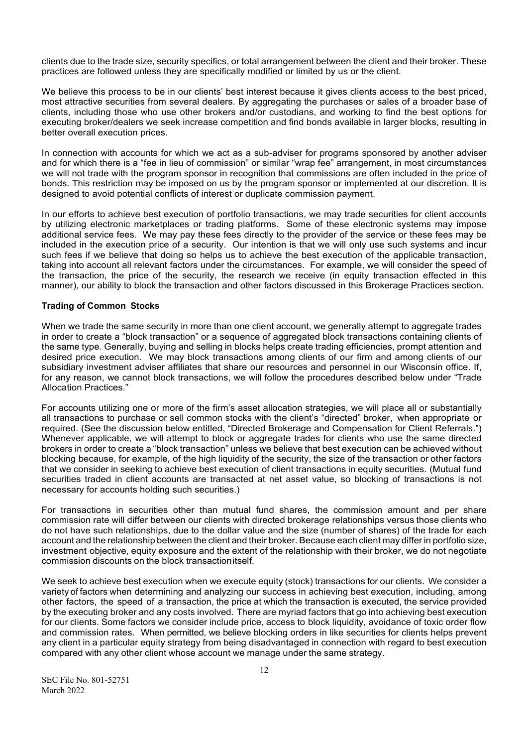clients due to the trade size, security specifics, or total arrangement between the client and their broker. These practices are followed unless they are specifically modified or limited by us or the client.

We believe this process to be in our clients' best interest because it gives clients access to the best priced, most attractive securities from several dealers. By aggregating the purchases or sales of a broader base of clients, including those who use other brokers and/or custodians, and working to find the best options for executing broker/dealers we seek increase competition and find bonds available in larger blocks, resulting in better overall execution prices.

In connection with accounts for which we act as a sub-adviser for programs sponsored by another adviser and for which there is a "fee in lieu of commission" or similar "wrap fee" arrangement, in most circumstances we will not trade with the program sponsor in recognition that commissions are often included in the price of bonds. This restriction may be imposed on us by the program sponsor or implemented at our discretion. It is designed to avoid potential conflicts of interest or duplicate commission payment.

In our efforts to achieve best execution of portfolio transactions, we may trade securities for client accounts by utilizing electronic marketplaces or trading platforms. Some of these electronic systems may impose additional service fees. We may pay these fees directly to the provider of the service or these fees may be included in the execution price of a security. Our intention is that we will only use such systems and incur such fees if we believe that doing so helps us to achieve the best execution of the applicable transaction, taking into account all relevant factors under the circumstances. For example, we will consider the speed of the transaction, the price of the security, the research we receive (in equity transaction effected in this manner), our ability to block the transaction and other factors discussed in this Brokerage Practices section.

### **Trading of Common Stocks**

When we trade the same security in more than one client account, we generally attempt to aggregate trades in order to create a "block transaction" or a sequence of aggregated block transactions containing clients of the same type. Generally, buying and selling in blocks helps create trading efficiencies, prompt attention and desired price execution. We may block transactions among clients of our firm and among clients of our subsidiary investment adviser affiliates that share our resources and personnel in our Wisconsin office. If, for any reason, we cannot block transactions, we will follow the procedures described below under "Trade Allocation Practices."

For accounts utilizing one or more of the firm's asset allocation strategies, we will place all or substantially all transactions to purchase or sell common stocks with the client's "directed" broker, when appropriate or required. (See the discussion below entitled, "Directed Brokerage and Compensation for Client Referrals.") Whenever applicable, we will attempt to block or aggregate trades for clients who use the same directed brokers in order to create a "block transaction" unless we believe that best execution can be achieved without blocking because, for example, of the high liquidity of the security, the size of the transaction or other factors that we consider in seeking to achieve best execution of client transactions in equity securities. (Mutual fund securities traded in client accounts are transacted at net asset value, so blocking of transactions is not necessary for accounts holding such securities.)

For transactions in securities other than mutual fund shares, the commission amount and per share commission rate will differ between our clients with directed brokerage relationships versus those clients who do not have such relationships, due to the dollar value and the size (number of shares) of the trade for each account and the relationship between the client and their broker. Because each client may differ in portfolio size, investment objective, equity exposure and the extent of the relationship with their broker, we do not negotiate commission discounts on the block transactionitself.

We seek to achieve best execution when we execute equity (stock) transactions for our clients. We consider a variety of factors when determining and analyzing our success in achieving best execution, including, among other factors, the speed of a transaction, the price at which the transaction is executed, the service provided by the executing broker and any costs involved. There are myriad factors that go into achieving best execution for our clients. Some factors we consider include price, access to block liquidity, avoidance of toxic order flow and commission rates. When permitted, we believe blocking orders in like securities for clients helps prevent any client in a particular equity strategy from being disadvantaged in connection with regard to best execution compared with any other client whose account we manage under the same strategy.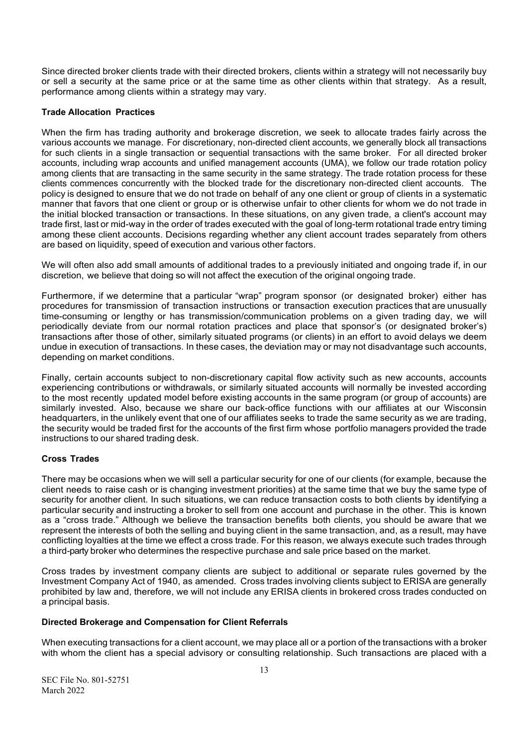Since directed broker clients trade with their directed brokers, clients within a strategy will not necessarily buy or sell a security at the same price or at the same time as other clients within that strategy. As a result, performance among clients within a strategy may vary.

### **Trade Allocation Practices**

When the firm has trading authority and brokerage discretion, we seek to allocate trades fairly across the various accounts we manage. For discretionary, non-directed client accounts, we generally block all transactions for such clients in a single transaction or sequential transactions with the same broker. For all directed broker accounts, including wrap accounts and unified management accounts (UMA), we follow our trade rotation policy among clients that are transacting in the same security in the same strategy. The trade rotation process for these clients commences concurrently with the blocked trade for the discretionary non-directed client accounts. The policy is designed to ensure that we do not trade on behalf of any one client or group of clients in a systematic manner that favors that one client or group or is otherwise unfair to other clients for whom we do not trade in the initial blocked transaction or transactions. In these situations, on any given trade, a client's account may trade first, last or mid-way in the order of trades executed with the goal of long-term rotational trade entry timing among these client accounts. Decisions regarding whether any client account trades separately from others are based on liquidity, speed of execution and various other factors.

We will often also add small amounts of additional trades to a previously initiated and ongoing trade if, in our discretion, we believe that doing so will not affect the execution of the original ongoing trade.

Furthermore, if we determine that a particular "wrap" program sponsor (or designated broker) either has procedures for transmission of transaction instructions or transaction execution practices that are unusually time-consuming or lengthy or has transmission/communication problems on a given trading day, we will periodically deviate from our normal rotation practices and place that sponsor's (or designated broker's) transactions after those of other, similarly situated programs (or clients) in an effort to avoid delays we deem undue in execution of transactions. In these cases, the deviation may or may not disadvantage such accounts, depending on market conditions.

Finally, certain accounts subject to non-discretionary capital flow activity such as new accounts, accounts experiencing contributions or withdrawals, or similarly situated accounts will normally be invested according to the most recently updated model before existing accounts in the same program (or group of accounts) are similarly invested. Also, because we share our back-office functions with our affiliates at our Wisconsin headquarters, in the unlikely event that one of our affiliates seeks to trade the same security as we are trading, the security would be traded first for the accounts of the first firm whose portfolio managers provided the trade instructions to our shared trading desk.

# **Cross Trades**

There may be occasions when we will sell a particular security for one of our clients (for example, because the client needs to raise cash or is changing investment priorities) at the same time that we buy the same type of security for another client. In such situations, we can reduce transaction costs to both clients by identifying a particular security and instructing a broker to sell from one account and purchase in the other. This is known as a "cross trade." Although we believe the transaction benefits both clients, you should be aware that we represent the interests of both the selling and buying client in the same transaction, and, as a result, may have conflicting loyalties at the time we effect a cross trade. For this reason, we always execute such trades through a third-party broker who determines the respective purchase and sale price based on the market.

Cross trades by investment company clients are subject to additional or separate rules governed by the Investment Company Act of 1940, as amended. Cross trades involving clients subject to ERISA are generally prohibited by law and, therefore, we will not include any ERISA clients in brokered cross trades conducted on a principal basis.

### **Directed Brokerage and Compensation for Client Referrals**

When executing transactions for a client account, we may place all or a portion of the transactions with a broker with whom the client has a special advisory or consulting relationship. Such transactions are placed with a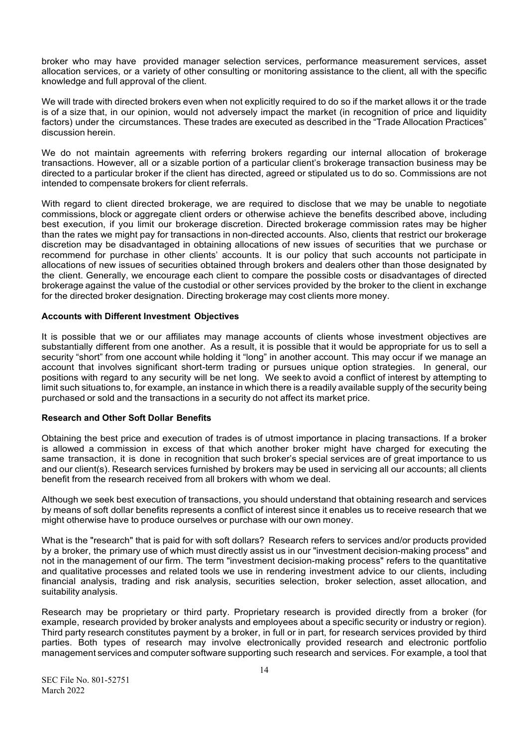broker who may have provided manager selection services, performance measurement services, asset allocation services, or a variety of other consulting or monitoring assistance to the client, all with the specific knowledge and full approval of the client.

We will trade with directed brokers even when not explicitly required to do so if the market allows it or the trade is of a size that, in our opinion, would not adversely impact the market (in recognition of price and liquidity factors) under the circumstances. These trades are executed as described in the "Trade Allocation Practices" discussion herein.

We do not maintain agreements with referring brokers regarding our internal allocation of brokerage transactions. However, all or a sizable portion of a particular client's brokerage transaction business may be directed to a particular broker if the client has directed, agreed or stipulated us to do so. Commissions are not intended to compensate brokers for client referrals.

With regard to client directed brokerage, we are required to disclose that we may be unable to negotiate commissions, block or aggregate client orders or otherwise achieve the benefits described above, including best execution, if you limit our brokerage discretion. Directed brokerage commission rates may be higher than the rates we might pay for transactions in non-directed accounts. Also, clients that restrict our brokerage discretion may be disadvantaged in obtaining allocations of new issues of securities that we purchase or recommend for purchase in other clients' accounts. It is our policy that such accounts not participate in allocations of new issues of securities obtained through brokers and dealers other than those designated by the client. Generally, we encourage each client to compare the possible costs or disadvantages of directed brokerage against the value of the custodial or other services provided by the broker to the client in exchange for the directed broker designation. Directing brokerage may cost clients more money.

### **Accounts with Different Investment Objectives**

It is possible that we or our affiliates may manage accounts of clients whose investment objectives are substantially different from one another. As a result, it is possible that it would be appropriate for us to sell a security "short" from one account while holding it "long" in another account. This may occur if we manage an account that involves significant short-term trading or pursues unique option strategies. In general, our positions with regard to any security will be net long. We seek to avoid a conflict of interest by attempting to limit such situations to, for example, an instance in which there is a readily available supply of the security being purchased or sold and the transactions in a security do not affect its market price.

### **Research and Other Soft Dollar Benefits**

Obtaining the best price and execution of trades is of utmost importance in placing transactions. If a broker is allowed a commission in excess of that which another broker might have charged for executing the same transaction, it is done in recognition that such broker's special services are of great importance to us and our client(s). Research services furnished by brokers may be used in servicing all our accounts; all clients benefit from the research received from all brokers with whom we deal.

Although we seek best execution of transactions, you should understand that obtaining research and services by means of soft dollar benefits represents a conflict of interest since it enables us to receive research that we might otherwise have to produce ourselves or purchase with our own money.

What is the "research" that is paid for with soft dollars? Research refers to services and/or products provided by a broker, the primary use of which must directly assist us in our "investment decision-making process" and not in the management of our firm. The term "investment decision-making process" refers to the quantitative and qualitative processes and related tools we use in rendering investment advice to our clients, including financial analysis, trading and risk analysis, securities selection, broker selection, asset allocation, and suitability analysis.

Research may be proprietary or third party. Proprietary research is provided directly from a broker (for example, research provided by broker analysts and employees about a specific security or industry or region). Third party research constitutes payment by a broker, in full or in part, for research services provided by third parties. Both types of research may involve electronically provided research and electronic portfolio management services and computer software supporting such research and services. For example, a tool that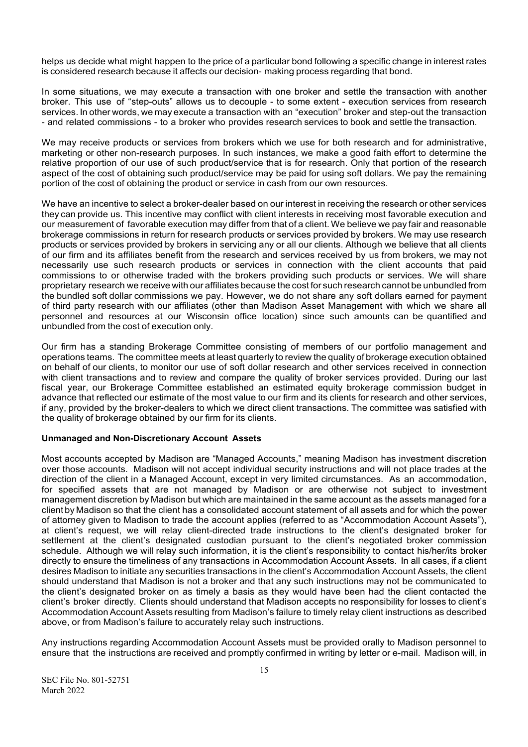helps us decide what might happen to the price of a particular bond following a specific change in interest rates is considered research because it affects our decision- making process regarding that bond.

In some situations, we may execute a transaction with one broker and settle the transaction with another broker. This use of "step-outs" allows us to decouple - to some extent - execution services from research services. In other words, we may execute a transaction with an "execution" broker and step-out the transaction - and related commissions - to a broker who provides research services to book and settle the transaction.

We may receive products or services from brokers which we use for both research and for administrative, marketing or other non-research purposes. In such instances, we make a good faith effort to determine the relative proportion of our use of such product/service that is for research. Only that portion of the research aspect of the cost of obtaining such product/service may be paid for using soft dollars. We pay the remaining portion of the cost of obtaining the product or service in cash from our own resources.

We have an incentive to select a broker-dealer based on our interest in receiving the research or other services they can provide us. This incentive may conflict with client interests in receiving most favorable execution and our measurement of favorable execution may differ from that of a client. We believe we pay fair and reasonable brokerage commissions in return for research products or services provided by brokers. We may use research products or services provided by brokers in servicing any or all our clients. Although we believe that all clients of our firm and its affiliates benefit from the research and services received by us from brokers, we may not necessarily use such research products or services in connection with the client accounts that paid commissions to or otherwise traded with the brokers providing such products or services. We will share proprietary research we receive with our affiliates because the cost for such research cannot be unbundled from the bundled soft dollar commissions we pay. However, we do not share any soft dollars earned for payment of third party research with our affiliates (other than Madison Asset Management with which we share all personnel and resources at our Wisconsin office location) since such amounts can be quantified and unbundled from the cost of execution only.

Our firm has a standing Brokerage Committee consisting of members of our portfolio management and operations teams. The committee meets at least quarterly to review the quality of brokerage execution obtained on behalf of our clients, to monitor our use of soft dollar research and other services received in connection with client transactions and to review and compare the quality of broker services provided. During our last fiscal year, our Brokerage Committee established an estimated equity brokerage commission budget in advance that reflected our estimate of the most value to our firm and its clients for research and other services, if any, provided by the broker-dealers to which we direct client transactions. The committee was satisfied with the quality of brokerage obtained by our firm for its clients.

# **Unmanaged and Non-Discretionary Account Assets**

Most accounts accepted by Madison are "Managed Accounts," meaning Madison has investment discretion over those accounts. Madison will not accept individual security instructions and will not place trades at the direction of the client in a Managed Account, except in very limited circumstances. As an accommodation, for specified assets that are not managed by Madison or are otherwise not subject to investment management discretion by Madison but which are maintained in the same account as the assets managed for a client by Madison so that the client has a consolidated account statement of all assets and for which the power of attorney given to Madison to trade the account applies (referred to as "Accommodation Account Assets"), at client's request, we will relay client-directed trade instructions to the client's designated broker for settlement at the client's designated custodian pursuant to the client's negotiated broker commission schedule. Although we will relay such information, it is the client's responsibility to contact his/her/its broker directly to ensure the timeliness of any transactions in Accommodation Account Assets. In all cases, if a client desires Madison to initiate any securities transactions in the client's Accommodation Account Assets, the client should understand that Madison is not a broker and that any such instructions may not be communicated to the client's designated broker on as timely a basis as they would have been had the client contacted the client's broker directly. Clients should understand that Madison accepts no responsibility for losses to client's Accommodation Account Assets resulting from Madison's failure to timely relay client instructions as described above, or from Madison's failure to accurately relay such instructions.

Any instructions regarding Accommodation Account Assets must be provided orally to Madison personnel to ensure that the instructions are received and promptly confirmed in writing by letter or e-mail. Madison will, in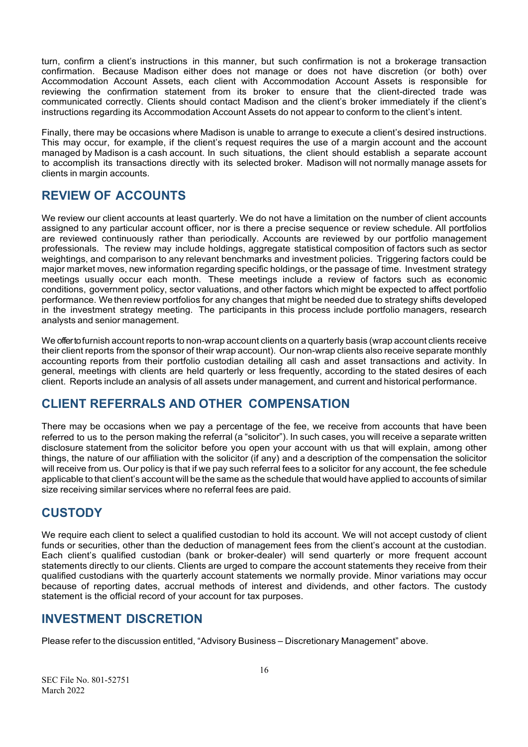turn, confirm a client's instructions in this manner, but such confirmation is not a brokerage transaction confirmation. Because Madison either does not manage or does not have discretion (or both) over Accommodation Account Assets, each client with Accommodation Account Assets is responsible for reviewing the confirmation statement from its broker to ensure that the client-directed trade was communicated correctly. Clients should contact Madison and the client's broker immediately if the client's instructions regarding its Accommodation Account Assets do not appear to conform to the client's intent.

Finally, there may be occasions where Madison is unable to arrange to execute a client's desired instructions. This may occur, for example, if the client's request requires the use of a margin account and the account managed by Madison is a cash account. In such situations, the client should establish a separate account to accomplish its transactions directly with its selected broker. Madison will not normally manage assets for clients in margin accounts.

# <span id="page-18-0"></span>**REVIEW OF ACCOUNTS**

We review our client accounts at least quarterly. We do not have a limitation on the number of client accounts assigned to any particular account officer, nor is there a precise sequence or review schedule. All portfolios are reviewed continuously rather than periodically. Accounts are reviewed by our portfolio management professionals. The review may include holdings, aggregate statistical composition of factors such as sector weightings, and comparison to any relevant benchmarks and investment policies. Triggering factors could be major market moves, new information regarding specific holdings, or the passage of time. Investment strategy meetings usually occur each month. These meetings include a review of factors such as economic conditions, government policy, sector valuations, and other factors which might be expected to affect portfolio performance. We then review portfolios for any changes that might be needed due to strategy shifts developed in the investment strategy meeting. The participants in this process include portfolio managers, research analysts and senior management.

We offer to furnish account reports to non-wrap account clients on a quarterly basis (wrap account clients receive their client reports from the sponsor of their wrap account). Our non-wrap clients also receive separate monthly accounting reports from their portfolio custodian detailing all cash and asset transactions and activity. In general, meetings with clients are held quarterly or less frequently, according to the stated desires of each client. Reports include an analysis of all assets under management, and current and historical performance.

# <span id="page-18-1"></span>**CLIENT REFERRALS AND OTHER COMPENSATION**

There may be occasions when we pay a percentage of the fee, we receive from accounts that have been referred to us to the person making the referral (a "solicitor"). In such cases, you will receive a separate written disclosure statement from the solicitor before you open your account with us that will explain, among other things, the nature of our affiliation with the solicitor (if any) and a description of the compensation the solicitor will receive from us. Our policy is that if we pay such referral fees to a solicitor for any account, the fee schedule applicable to that client's account will be the same as the schedule that would have applied to accounts of similar size receiving similar services where no referral fees are paid.

# <span id="page-18-2"></span>**CUSTODY**

We require each client to select a qualified custodian to hold its account. We will not accept custody of client funds or securities, other than the deduction of management fees from the client's account at the custodian. Each client's qualified custodian (bank or broker-dealer) will send quarterly or more frequent account statements directly to our clients. Clients are urged to compare the account statements they receive from their qualified custodians with the quarterly account statements we normally provide. Minor variations may occur because of reporting dates, accrual methods of interest and dividends, and other factors. The custody statement is the official record of your account for tax purposes.

# <span id="page-18-3"></span>**INVESTMENT DISCRETION**

Please refer to the discussion entitled, "Advisory Business – Discretionary Management" above.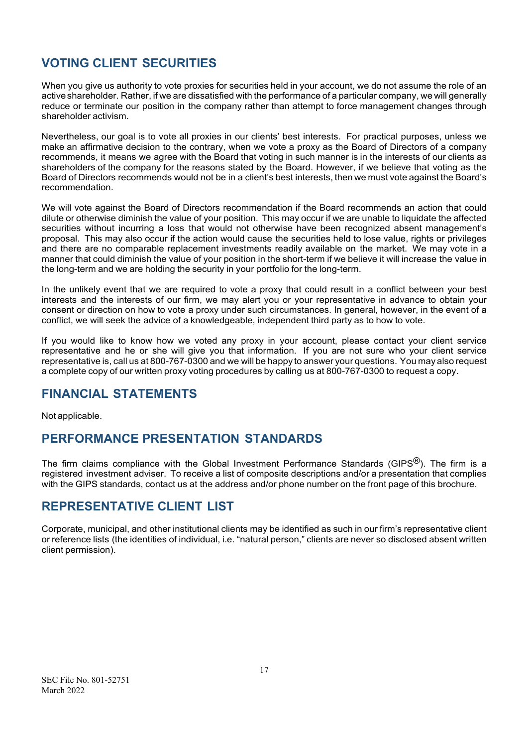# <span id="page-19-0"></span>**VOTING CLIENT SECURITIES**

When you give us authority to vote proxies for securities held in your account, we do not assume the role of an active shareholder. Rather, if we are dissatisfied with the performance of a particular company, we will generally reduce or terminate our position in the company rather than attempt to force management changes through shareholder activism.

Nevertheless, our goal is to vote all proxies in our clients' best interests. For practical purposes, unless we make an affirmative decision to the contrary, when we vote a proxy as the Board of Directors of a company recommends, it means we agree with the Board that voting in such manner is in the interests of our clients as shareholders of the company for the reasons stated by the Board. However, if we believe that voting as the Board of Directors recommends would not be in a client's best interests, then we must vote against the Board's recommendation.

We will vote against the Board of Directors recommendation if the Board recommends an action that could dilute or otherwise diminish the value of your position. This may occur if we are unable to liquidate the affected securities without incurring a loss that would not otherwise have been recognized absent management's proposal. This may also occur if the action would cause the securities held to lose value, rights or privileges and there are no comparable replacement investments readily available on the market. We may vote in a manner that could diminish the value of your position in the short-term if we believe it will increase the value in the long-term and we are holding the security in your portfolio for the long-term.

In the unlikely event that we are required to vote a proxy that could result in a conflict between your best interests and the interests of our firm, we may alert you or your representative in advance to obtain your consent or direction on how to vote a proxy under such circumstances. In general, however, in the event of a conflict, we will seek the advice of a knowledgeable, independent third party as to how to vote.

If you would like to know how we voted any proxy in your account, please contact your client service representative and he or she will give you that information. If you are not sure who your client service representative is, call us at 800-767-0300 and we will be happy to answer your questions. You may also request a complete copy of our written proxy voting procedures by calling us at 800-767-0300 to request a copy.

# <span id="page-19-1"></span>**FINANCIAL STATEMENTS**

Not applicable.

# <span id="page-19-2"></span>**PERFORMANCE PRESENTATION STANDARDS**

The firm claims compliance with the Global Investment Performance Standards (GIPS<sup>®</sup>). The firm is a registered investment adviser. To receive a list of composite descriptions and/or a presentation that complies with the GIPS standards, contact us at the address and/or phone number on the front page of this brochure.

# <span id="page-19-3"></span>**REPRESENTATIVE CLIENT LIST**

Corporate, municipal, and other institutional clients may be identified as such in our firm's representative client or reference lists (the identities of individual, i.e. "natural person," clients are never so disclosed absent written client permission).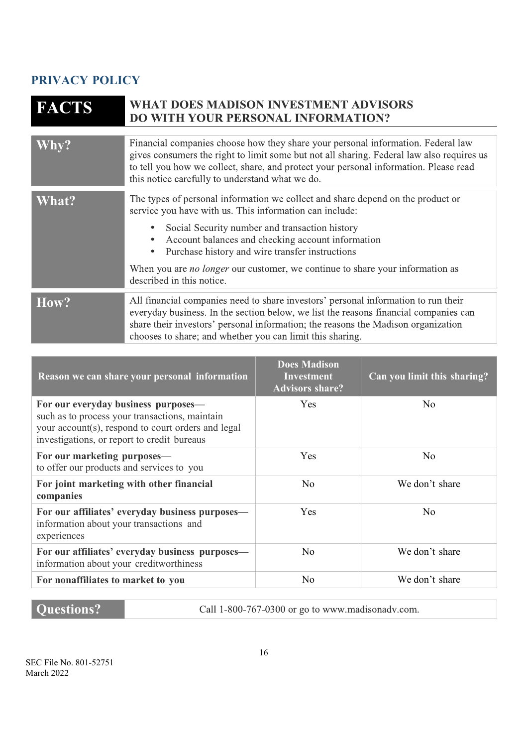# <span id="page-20-0"></span>**PRIVACY POLICY**

| <b>FACTS</b> | <b>WHAT DOES MADISON INVESTMENT ADVISORS</b><br>DO WITH YOUR PERSONAL INFORMATION?                                                                                                                                                                                                                                           |
|--------------|------------------------------------------------------------------------------------------------------------------------------------------------------------------------------------------------------------------------------------------------------------------------------------------------------------------------------|
| Why?         | Financial companies choose how they share your personal information. Federal law<br>gives consumers the right to limit some but not all sharing. Federal law also requires us                                                                                                                                                |
|              | to tell you how we collect, share, and protect your personal information. Please read<br>this notice carefully to understand what we do.                                                                                                                                                                                     |
|              |                                                                                                                                                                                                                                                                                                                              |
| What?        | The types of personal information we collect and share depend on the product or<br>service you have with us. This information can include:                                                                                                                                                                                   |
|              | Social Security number and transaction history<br>$\bullet$<br>Account balances and checking account information<br>$\bullet$<br>Purchase history and wire transfer instructions<br>$\bullet$                                                                                                                                |
|              | When you are <i>no longer</i> our customer, we continue to share your information as<br>described in this notice.                                                                                                                                                                                                            |
|              |                                                                                                                                                                                                                                                                                                                              |
| How?         | All financial companies need to share investors' personal information to run their<br>everyday business. In the section below, we list the reasons financial companies can<br>share their investors' personal information; the reasons the Madison organization<br>chooses to share; and whether you can limit this sharing. |

| Reason we can share your personal information                                                                                                                                              | <b>Does Madison</b><br><b>Investment</b><br><b>Advisors share?</b> | Can you limit this sharing? |
|--------------------------------------------------------------------------------------------------------------------------------------------------------------------------------------------|--------------------------------------------------------------------|-----------------------------|
| For our everyday business purposes—<br>such as to process your transactions, maintain<br>your account(s), respond to court orders and legal<br>investigations, or report to credit bureaus | Yes                                                                | N <sub>o</sub>              |
| For our marketing purposes—<br>to offer our products and services to you                                                                                                                   | Yes                                                                | N <sub>0</sub>              |
| For joint marketing with other financial<br>companies                                                                                                                                      | N <sub>o</sub>                                                     | We don't share              |
| For our affiliates' everyday business purposes-<br>information about your transactions and<br>experiences                                                                                  | <b>Yes</b>                                                         | N <sub>o</sub>              |
| For our affiliates' everyday business purposes-<br>information about your creditworthiness                                                                                                 | N <sub>o</sub>                                                     | We don't share              |
| For nonaffiliates to market to you                                                                                                                                                         | N <sub>o</sub>                                                     | We don't share              |

# **Questions?**

Call 1-800-767-0300 or go to www.madisonadv.com.